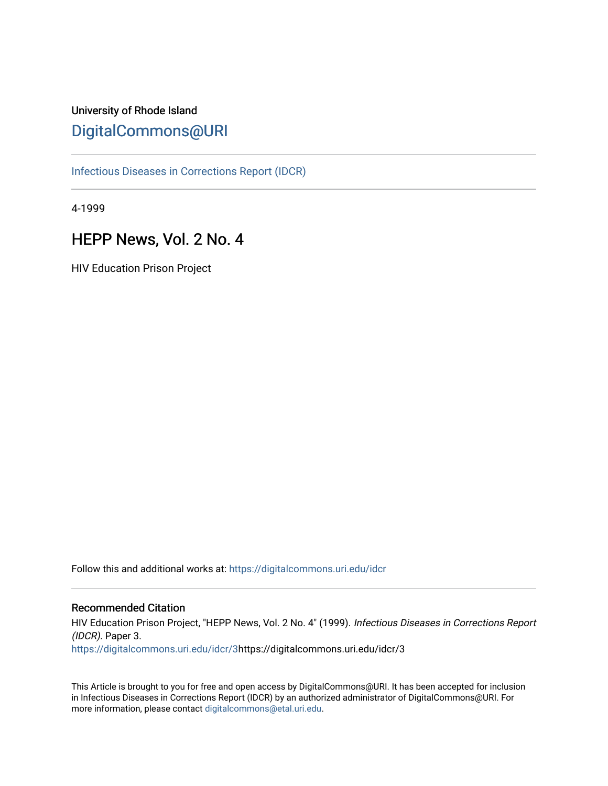# University of Rhode Island [DigitalCommons@URI](https://digitalcommons.uri.edu/)

[Infectious Diseases in Corrections Report \(IDCR\)](https://digitalcommons.uri.edu/idcr)

4-1999

# HEPP News, Vol. 2 No. 4

HIV Education Prison Project

Follow this and additional works at: [https://digitalcommons.uri.edu/idcr](https://digitalcommons.uri.edu/idcr?utm_source=digitalcommons.uri.edu%2Fidcr%2F3&utm_medium=PDF&utm_campaign=PDFCoverPages)

### Recommended Citation

HIV Education Prison Project, "HEPP News, Vol. 2 No. 4" (1999). Infectious Diseases in Corrections Report (IDCR). Paper 3. [https://digitalcommons.uri.edu/idcr/3](https://digitalcommons.uri.edu/idcr/3?utm_source=digitalcommons.uri.edu%2Fidcr%2F3&utm_medium=PDF&utm_campaign=PDFCoverPages)https://digitalcommons.uri.edu/idcr/3

This Article is brought to you for free and open access by DigitalCommons@URI. It has been accepted for inclusion in Infectious Diseases in Corrections Report (IDCR) by an authorized administrator of DigitalCommons@URI. For more information, please contact [digitalcommons@etal.uri.edu.](mailto:digitalcommons@etal.uri.edu)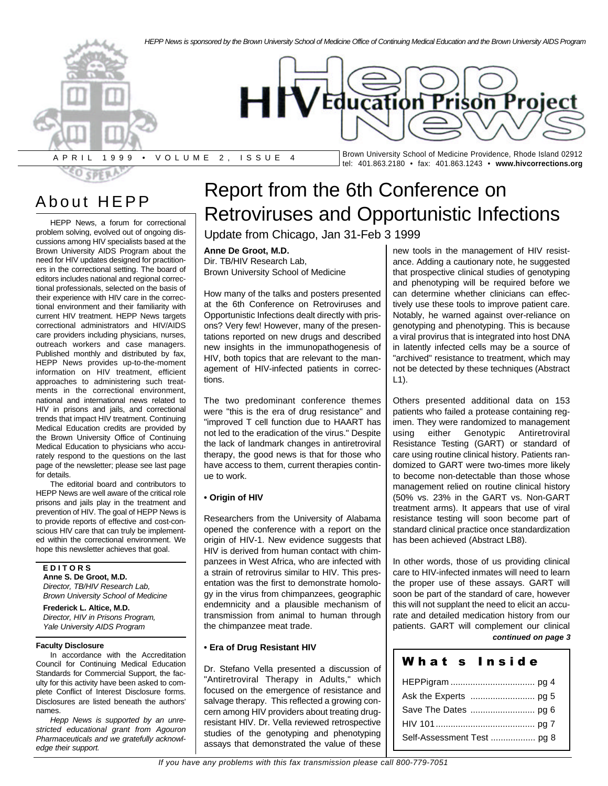

# About HEPP

HEPP News, a forum for correctional problem solving, evolved out of ongoing discussions among HIV specialists based at the Brown University AIDS Program about the need for HIV updates designed for practitioners in the correctional setting. The board of editors includes national and regional correctional professionals, selected on the basis of their experience with HIV care in the correctional environment and their familiarity with current HIV treatment. HEPP News targets correctional administrators and HIV/AIDS care providers including physicians, nurses, outreach workers and case managers. Published monthly and distributed by fax, HEPP News provides up-to-the-moment information on HIV treatment, efficient approaches to administering such treatments in the correctional environment, national and international news related to HIV in prisons and jails, and correctional trends that impact HIV treatment. Continuing Medical Education credits are provided by the Brown University Office of Continuing Medical Education to physicians who accurately respond to the questions on the last page of the newsletter; please see last page for details.

The editorial board and contributors to HEPP News are well aware of the critical role prisons and jails play in the treatment and prevention of HIV. The goal of HEPP News is to provide reports of effective and cost-conscious HIV care that can truly be implemented within the correctional environment. We hope this newsletter achieves that goal.

**E D I T O R S Anne S. De Groot, M.D.** *Director, TB/HIV Research Lab, Brown University School of Medicine*

**Frederick L. Altice, M.D.** *Director, HIV in Prisons Program, Yale University AIDS Program*

#### **Faculty Disclosure**

In accordance with the Accreditation Council for Continuing Medical Education Standards for Commercial Support, the faculty for this activity have been asked to complete Conflict of Interest Disclosure forms. Disclosures are listed beneath the authors' names.

*Hepp News is supported by an unrestricted educational grant from Agouron Pharmaceuticals and we gratefully acknowledge their support.*

# Report from the 6th Conference on Retroviruses and Opportunistic Infections

Update from Chicago, Jan 31-Feb 3 1999

#### **Anne De Groot, M.D.**

Dir. TB/HIV Research Lab, Brown University School of Medicine

How many of the talks and posters presented at the 6th Conference on Retroviruses and Opportunistic Infections dealt directly with prisons? Very few! However, many of the presentations reported on new drugs and described new insights in the immunopathogenesis of HIV, both topics that are relevant to the management of HIV-infected patients in corrections.

The two predominant conference themes were "this is the era of drug resistance" and "improved T cell function due to HAART has not led to the eradication of the virus." Despite the lack of landmark changes in antiretroviral therapy, the good news is that for those who have access to them, current therapies continue to work.

#### **• Origin of HIV**

Researchers from the University of Alabama opened the conference with a report on the origin of HIV-1. New evidence suggests that HIV is derived from human contact with chimpanzees in West Africa, who are infected with a strain of retrovirus similar to HIV. This presentation was the first to demonstrate homology in the virus from chimpanzees, geographic endemnicity and a plausible mechanism of transmission from animal to human through the chimpanzee meat trade.

#### **• Era of Drug Resistant HIV**

Dr. Stefano Vella presented a discussion of "Antiretroviral Therapy in Adults," which focused on the emergence of resistance and salvage therapy. This reflected a growing concern among HIV providers about treating drugresistant HIV. Dr. Vella reviewed retrospective studies of the genotyping and phenotyping assays that demonstrated the value of these

new tools in the management of HIV resistance. Adding a cautionary note, he suggested that prospective clinical studies of genotyping and phenotyping will be required before we can determine whether clinicians can effectively use these tools to improve patient care. Notably, he warned against over-reliance on genotyping and phenotyping. This is because a viral provirus that is integrated into host DNA in latently infected cells may be a source of "archived" resistance to treatment, which may not be detected by these techniques (Abstract L1).

Others presented additional data on 153 patients who failed a protease containing regimen. They were randomized to management using either Genotypic Antiretroviral Resistance Testing (GART) or standard of care using routine clinical history. Patients randomized to GART were two-times more likely to become non-detectable than those whose management relied on routine clinical history (50% vs. 23% in the GART vs. Non-GART treatment arms). It appears that use of viral resistance testing will soon become part of standard clinical practice once standardization has been achieved (Abstract LB8).

In other words, those of us providing clinical care to HIV-infected inmates will need to learn the proper use of these assays. GART will soon be part of the standard of care, however this will not supplant the need to elicit an accurate and detailed medication history from our patients. GART will complement our clinical *continued on page 3*

#### What **s** Inside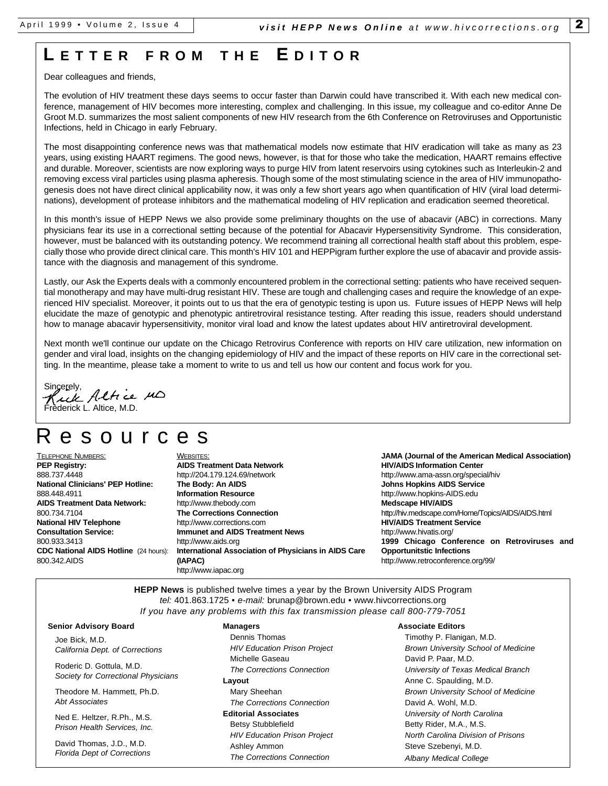# **L ETTE R FRO M T H E E DITO R**

Dear colleagues and friends,

The evolution of HIV treatment these days seems to occur faster than Darwin could have transcribed it. With each new medical conference, management of HIV becomes more interesting, complex and challenging. In this issue, my colleague and co-editor Anne De Groot M.D. summarizes the most salient components of new HIV research from the 6th Conference on Retroviruses and Opportunistic Infections, held in Chicago in early February.

The most disappointing conference news was that mathematical models now estimate that HIV eradication will take as many as 23 years, using existing HAART regimens. The good news, however, is that for those who take the medication, HAART remains effective and durable. Moreover, scientists are now exploring ways to purge HIV from latent reservoirs using cytokines such as Interleukin-2 and removing excess viral particles using plasma apheresis. Though some of the most stimulating science in the area of HIV immunopathogenesis does not have direct clinical applicability now, it was only a few short years ago when quantification of HIV (viral load determinations), development of protease inhibitors and the mathematical modeling of HIV replication and eradication seemed theoretical.

In this month's issue of HEPP News we also provide some preliminary thoughts on the use of abacavir (ABC) in corrections. Many physicians fear its use in a correctional setting because of the potential for Abacavir Hypersensitivity Syndrome. This consideration, however, must be balanced with its outstanding potency. We recommend training all correctional health staff about this problem, especially those who provide direct clinical care. This month's HIV 101 and HEPPigram further explore the use of abacavir and provide assistance with the diagnosis and management of this syndrome.

Lastly, our Ask the Experts deals with a commonly encountered problem in the correctional setting: patients who have received sequential monotherapy and may have multi-drug resistant HIV. These are tough and challenging cases and require the knowledge of an experienced HIV specialist. Moreover, it points out to us that the era of genotypic testing is upon us. Future issues of HEPP News will help elucidate the maze of genotypic and phenotypic antiretroviral resistance testing. After reading this issue, readers should understand how to manage abacavir hypersensitivity, monitor viral load and know the latest updates about HIV antiretroviral development.

Next month we'll continue our update on the Chicago Retrovirus Conference with reports on HIV care utilization, new information on gender and viral load, insights on the changing epidemiology of HIV and the impact of these reports on HIV care in the correctional setting. In the meantime, please take a moment to write to us and tell us how our content and focus work for you.

Sincerely,<br>Kuck Altrice MD derick L. Altice, M.D.

# esources

TELEPHONE NUMBERS: **PEP Registry:** 888.737.4448 **National Clinicians' PEP Hotline:** 888.448.4911 **AIDS Treatment Data Network:** 800.734.7104 **National HIV Telephone Consultation Service:** 800.933.3413 **CDC National AIDS Hotline** (24 hours): 800.342.AIDS

WEBSITES: **AIDS Treatment Data Network** http://204.179.124.69/network **The Body: An AIDS Information Resource** http://www.thebody.com **The Corrections Connection** http://www.corrections.com **Immunet and AIDS Treatment News** http://www.aids.org **International Association of Physicians in AIDS Care (IAPAC)** http://www.iapac.org

**JAMA (Journal of the American Medical Association) HIV/AIDS Information Center** http://www.ama-assn.org/special/hiv **Johns Hopkins AIDS Service** http://www.hopkins-AIDS.edu **Medscape HIV/AIDS** http://hiv.medscape.com/Home/Topics/AIDS/AIDS.html **HIV/AIDS Treatment Service** http://www.hivatis.org/ **1999 Chicago Conference on Retroviruses and Opportunitstic Infections** http://www.retroconference.org/99/

**HEPP News** is published twelve times a year by the Brown University AIDS Program *tel:* 401.863.1725 • *e-mail:* brunap@brown.edu • www.hivcorrections.org *If you have any problems with this fax transmission please call 800-779-7051*

#### **Senior Advisory Board**

Joe Bick, M.D. *California Dept. of Corrections*

Roderic D. Gottula, M.D. *Society for Correctional Physicians*

Theodore M. Hammett, Ph.D. *Abt Associates*

Ned E. Heltzer, R.Ph., M.S. *Prison Health Services, Inc.*

David Thomas, J.D., M.D. *Florida Dept of Corrections*

#### **Managers**

Dennis Thomas *HIV Education Prison Project* Michelle Gaseau *The Corrections Connection* **Layout**  Mary Sheehan *The Corrections Connection* **Editorial Associates** Betsy Stubblefield *HIV Education Prison Project* Ashley Ammon *The Corrections Connection*

#### **Associate Editors**

Timothy P. Flanigan, M.D. *Brown University School of Medicine* David P. Paar, M.D. *University of Texas Medical Branch* Anne C. Spaulding, M.D. *Brown University School of Medicine* David A. Wohl, M.D. *University of North Carolina* Betty Rider, M.A., M.S. *North Carolina Division of Prisons* Steve Szebenyi, M.D. *Albany Medical College*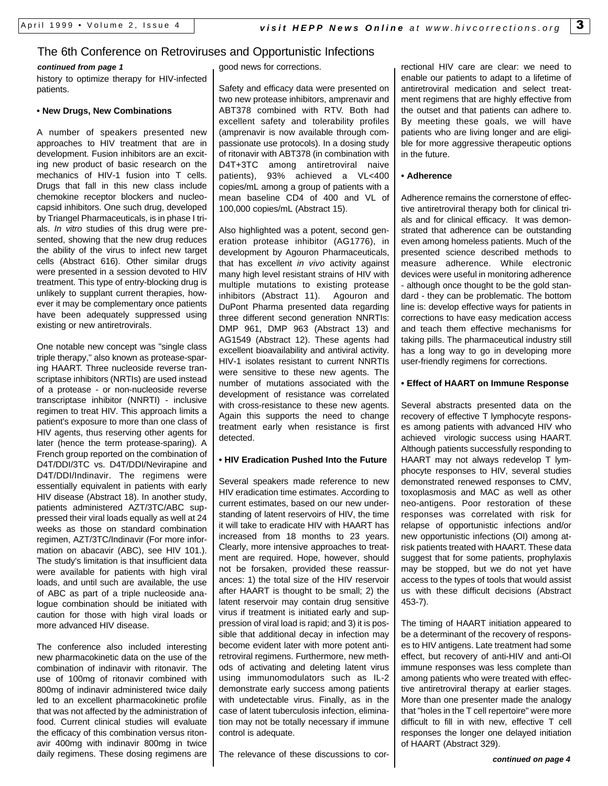### The 6th Conference on Retroviruses and Opportunistic Infections

#### *continued from page 1*

history to optimize therapy for HIV-infected patients.

#### **• New Drugs, New Combinations**

A number of speakers presented new approaches to HIV treatment that are in development. Fusion inhibitors are an exciting new product of basic research on the mechanics of HIV-1 fusion into T cells. Drugs that fall in this new class include chemokine receptor blockers and nucleocapsid inhibitors. One such drug, developed by Triangel Pharmaceuticals, is in phase I trials. *In vitro* studies of this drug were presented, showing that the new drug reduces the ability of the virus to infect new target cells (Abstract 616). Other similar drugs were presented in a session devoted to HIV treatment. This type of entry-blocking drug is unlikely to supplant current therapies, however it may be complementary once patients have been adequately suppressed using existing or new antiretrovirals.

One notable new concept was "single class triple therapy," also known as protease-sparing HAART. Three nucleoside reverse transcriptase inhibitors (NRTIs) are used instead of a protease - or non-nucleoside reverse transcriptase inhibitor (NNRTI) - inclusive regimen to treat HIV. This approach limits a patient's exposure to more than one class of HIV agents, thus reserving other agents for later (hence the term protease-sparing). A French group reported on the combination of D4T/DDI/3TC vs. D4T/DDI/Nevirapine and D4T/DDI/Indinavir. The regimens were essentially equivalent in patients with early HIV disease (Abstract 18). In another study, patients administered AZT/3TC/ABC suppressed their viral loads equally as well at 24 weeks as those on standard combination regimen, AZT/3TC/Indinavir (For more information on abacavir (ABC), see HIV 101.). The study's limitation is that insufficient data were available for patients with high viral loads, and until such are available, the use of ABC as part of a triple nucleoside analogue combination should be initiated with caution for those with high viral loads or more advanced HIV disease.

The conference also included interesting new pharmacokinetic data on the use of the combination of indinavir with ritonavir. The use of 100mg of ritonavir combined with 800mg of indinavir administered twice daily led to an excellent pharmacokinetic profile that was not affected by the administration of food. Current clinical studies will evaluate the efficacy of this combination versus ritonavir 400mg with indinavir 800mg in twice daily regimens. These dosing regimens are good news for corrections.

Safety and efficacy data were presented on two new protease inhibitors, amprenavir and ABT378 combined with RTV. Both had excellent safety and tolerability profiles (amprenavir is now available through compassionate use protocols). In a dosing study of ritonavir with ABT378 (in combination with D4T+3TC among antiretroviral naive patients), 93% achieved a VL<400 copies/mL among a group of patients with a mean baseline CD4 of 400 and VL of 100,000 copies/mL (Abstract 15).

Also highlighted was a potent, second generation protease inhibitor (AG1776), in development by Agouron Pharmaceuticals, that has excellent *in vivo* activity against many high level resistant strains of HIV with multiple mutations to existing protease inhibitors (Abstract 11). Agouron and DuPont Pharma presented data regarding three different second generation NNRTIs: DMP 961, DMP 963 (Abstract 13) and AG1549 (Abstract 12). These agents had excellent bioavailability and antiviral activity. HIV-1 isolates resistant to current NNRTIs were sensitive to these new agents. The number of mutations associated with the development of resistance was correlated with cross-resistance to these new agents. Again this supports the need to change treatment early when resistance is first detected.

#### **• HIV Eradication Pushed Into the Future**

Several speakers made reference to new HIV eradication time estimates. According to current estimates, based on our new understanding of latent reservoirs of HIV, the time it will take to eradicate HIV with HAART has increased from 18 months to 23 years. Clearly, more intensive approaches to treatment are required. Hope, however, should not be forsaken, provided these reassurances: 1) the total size of the HIV reservoir after HAART is thought to be small; 2) the latent reservoir may contain drug sensitive virus if treatment is initiated early and suppression of viral load is rapid; and 3) it is possible that additional decay in infection may become evident later with more potent antiretroviral regimens. Furthermore, new methods of activating and deleting latent virus using immunomodulators such as IL-2 demonstrate early success among patients with undetectable virus. Finally, as in the case of latent tuberculosis infection, elimination may not be totally necessary if immune control is adequate.

The relevance of these discussions to cor-

rectional HIV care are clear: we need to enable our patients to adapt to a lifetime of antiretroviral medication and select treatment regimens that are highly effective from the outset and that patients can adhere to. By meeting these goals, we will have patients who are living longer and are eligible for more aggressive therapeutic options in the future.

#### **• Adherence**

Adherence remains the cornerstone of effective antiretroviral therapy both for clinical trials and for clinical efficacy. It was demonstrated that adherence can be outstanding even among homeless patients. Much of the presented science described methods to measure adherence. While electronic devices were useful in monitoring adherence - although once thought to be the gold standard - they can be problematic. The bottom line is: develop effective ways for patients in corrections to have easy medication access and teach them effective mechanisms for taking pills. The pharmaceutical industry still has a long way to go in developing more user-friendly regimens for corrections.

#### **• Effect of HAART on Immune Response**

Several abstracts presented data on the recovery of effective T lymphocyte responses among patients with advanced HIV who achieved virologic success using HAART. Although patients successfully responding to HAART may not always redevelop T lymphocyte responses to HIV, several studies demonstrated renewed responses to CMV, toxoplasmosis and MAC as well as other neo-antigens. Poor restoration of these responses was correlated with risk for relapse of opportunistic infections and/or new opportunistic infections (OI) among atrisk patients treated with HAART. These data suggest that for some patients, prophylaxis may be stopped, but we do not yet have access to the types of tools that would assist us with these difficult decisions (Abstract 453-7).

The timing of HAART initiation appeared to be a determinant of the recovery of responses to HIV antigens. Late treatment had some effect, but recovery of anti-HIV and anti-OI immune responses was less complete than among patients who were treated with effective antiretroviral therapy at earlier stages. More than one presenter made the analogy that "holes in the T cell repertoire" were more difficult to fill in with new, effective T cell responses the longer one delayed initiation of HAART (Abstract 329).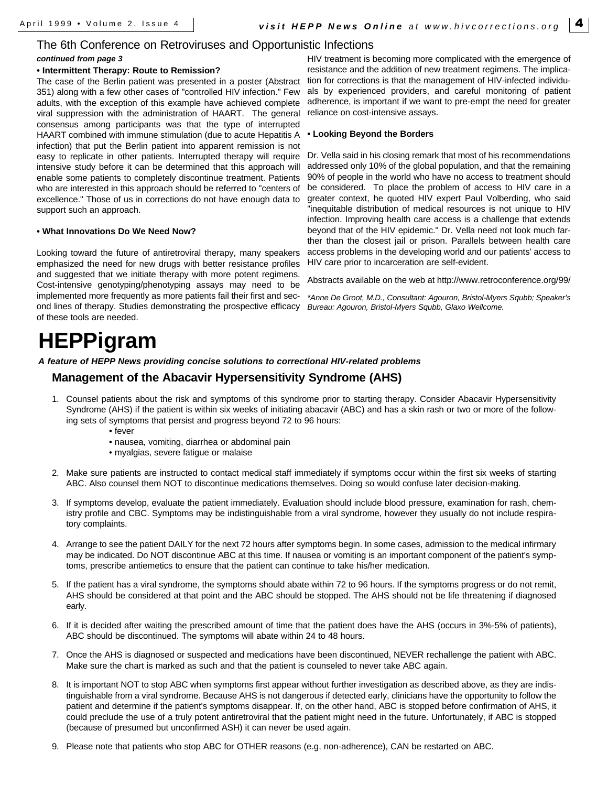### The 6th Conference on Retroviruses and Opportunistic Infections

#### *continued from page 3*

#### **• Intermittent Therapy: Route to Remission?**

The case of the Berlin patient was presented in a poster (Abstract 351) along with a few other cases of "controlled HIV infection." Few adults, with the exception of this example have achieved complete viral suppression with the administration of HAART. The general consensus among participants was that the type of interrupted HAART combined with immune stimulation (due to acute Hepatitis A infection) that put the Berlin patient into apparent remission is not easy to replicate in other patients. Interrupted therapy will require intensive study before it can be determined that this approach will enable some patients to completely discontinue treatment. Patients who are interested in this approach should be referred to "centers of excellence." Those of us in corrections do not have enough data to support such an approach.

#### **• What Innovations Do We Need Now?**

Looking toward the future of antiretroviral therapy, many speakers emphasized the need for new drugs with better resistance profiles and suggested that we initiate therapy with more potent regimens. Cost-intensive genotyping/phenotyping assays may need to be implemented more frequently as more patients fail their first and second lines of therapy. Studies demonstrating the prospective efficacy *Bureau: Agouron, Bristol-Myers Squbb, Glaxo Wellcome.* of these tools are needed.

#### HIV treatment is becoming more complicated with the emergence of resistance and the addition of new treatment regimens. The implication for corrections is that the management of HIV-infected individuals by experienced providers, and careful monitoring of patient adherence, is important if we want to pre-empt the need for greater reliance on cost-intensive assays.

#### **• Looking Beyond the Borders**

Dr. Vella said in his closing remark that most of his recommendations addressed only 10% of the global population, and that the remaining 90% of people in the world who have no access to treatment should be considered. To place the problem of access to HIV care in a greater context, he quoted HIV expert Paul Volberding, who said "inequitable distribution of medical resources is not unique to HIV infection. Improving health care access is a challenge that extends beyond that of the HIV epidemic." Dr. Vella need not look much farther than the closest jail or prison. Parallels between health care access problems in the developing world and our patients' access to HIV care prior to incarceration are self-evident.

Abstracts available on the web at http://www.retroconference.org/99/

*\*Anne De Groot, M.D., Consultant: Agouron, Bristol-Myers Squbb; Speaker's*

# **HEPPigram**

*A feature of HEPP News providing concise solutions to correctional HIV-related problems*

### **Management of the Abacavir Hypersensitivity Syndrome (AHS)**

- 1. Counsel patients about the risk and symptoms of this syndrome prior to starting therapy. Consider Abacavir Hypersensitivity Syndrome (AHS) if the patient is within six weeks of initiating abacavir (ABC) and has a skin rash or two or more of the following sets of symptoms that persist and progress beyond 72 to 96 hours:
	- fever
	- nausea, vomiting, diarrhea or abdominal pain
	- myalgias, severe fatigue or malaise
- 2. Make sure patients are instructed to contact medical staff immediately if symptoms occur within the first six weeks of starting ABC. Also counsel them NOT to discontinue medications themselves. Doing so would confuse later decision-making.
- 3. If symptoms develop, evaluate the patient immediately. Evaluation should include blood pressure, examination for rash, chemistry profile and CBC. Symptoms may be indistinguishable from a viral syndrome, however they usually do not include respiratory complaints.
- 4. Arrange to see the patient DAILY for the next 72 hours after symptoms begin. In some cases, admission to the medical infirmary may be indicated. Do NOT discontinue ABC at this time. If nausea or vomiting is an important component of the patient's symptoms, prescribe antiemetics to ensure that the patient can continue to take his/her medication.
- 5. If the patient has a viral syndrome, the symptoms should abate within 72 to 96 hours. If the symptoms progress or do not remit, AHS should be considered at that point and the ABC should be stopped. The AHS should not be life threatening if diagnosed early.
- 6. If it is decided after waiting the prescribed amount of time that the patient does have the AHS (occurs in 3%-5% of patients), ABC should be discontinued. The symptoms will abate within 24 to 48 hours.
- 7. Once the AHS is diagnosed or suspected and medications have been discontinued, NEVER rechallenge the patient with ABC. Make sure the chart is marked as such and that the patient is counseled to never take ABC again.
- 8. It is important NOT to stop ABC when symptoms first appear without further investigation as described above, as they are indistinguishable from a viral syndrome. Because AHS is not dangerous if detected early, clinicians have the opportunity to follow the patient and determine if the patient's symptoms disappear. If, on the other hand, ABC is stopped before confirmation of AHS, it could preclude the use of a truly potent antiretroviral that the patient might need in the future. Unfortunately, if ABC is stopped (because of presumed but unconfirmed ASH) it can never be used again.
- 9. Please note that patients who stop ABC for OTHER reasons (e.g. non-adherence), CAN be restarted on ABC.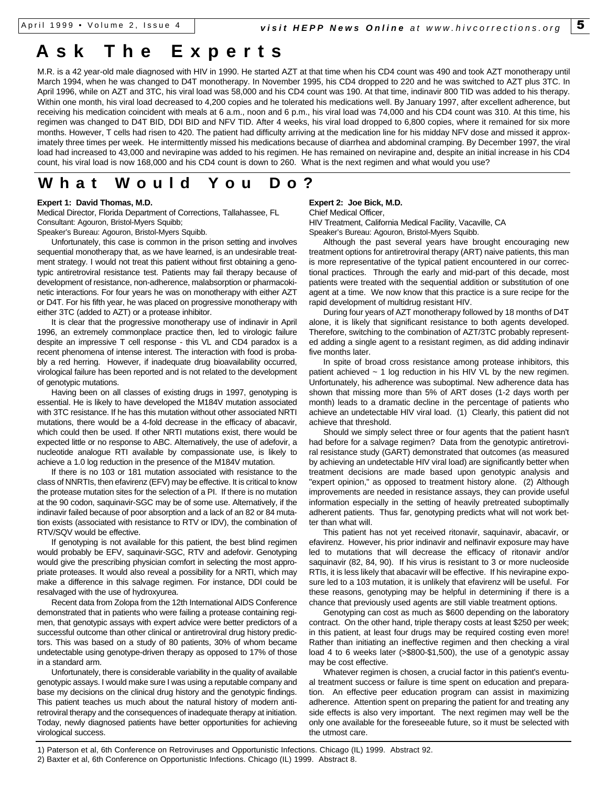# **Ask The Expert s**

M.R. is a 42 year-old male diagnosed with HIV in 1990. He started AZT at that time when his CD4 count was 490 and took AZT monotherapy until March 1994, when he was changed to D4T monotherapy. In November 1995, his CD4 dropped to 220 and he was switched to AZT plus 3TC. In April 1996, while on AZT and 3TC, his viral load was 58,000 and his CD4 count was 190. At that time, indinavir 800 TID was added to his therapy. Within one month, his viral load decreased to 4,200 copies and he tolerated his medications well. By January 1997, after excellent adherence, but receiving his medication coincident with meals at 6 a.m., noon and 6 p.m., his viral load was 74,000 and his CD4 count was 310. At this time, his regimen was changed to D4T BID, DDI BID and NFV TID. After 4 weeks, his viral load dropped to 6,800 copies, where it remained for six more months. However, T cells had risen to 420. The patient had difficulty arriving at the medication line for his midday NFV dose and missed it approximately three times per week. He intermittently missed his medications because of diarrhea and abdominal cramping. By December 1997, the viral load had increased to 43,000 and nevirapine was added to his regimen. He has remained on nevirapine and, despite an initial increase in his CD4 count, his viral load is now 168,000 and his CD4 count is down to 260. What is the next regimen and what would you use?

## **What Would You Do?**

#### **Expert 1: David Thomas, M.D.**

Medical Director, Florida Department of Corrections, Tallahassee, FL Consultant: Agouron, Bristol-Myers Squibb;

Speaker's Bureau: Agouron, Bristol-Myers Squibb.

Unfortunately, this case is common in the prison setting and involves sequential monotherapy that, as we have learned, is an undesirable treatment strategy. I would not treat this patient without first obtaining a genotypic antiretroviral resistance test. Patients may fail therapy because of development of resistance, non-adherence, malabsorption or pharmacokinetic interactions. For four years he was on monotherapy with either AZT or D4T. For his fifth year, he was placed on progressive monotherapy with either 3TC (added to AZT) or a protease inhibitor.

It is clear that the progressive monotherapy use of indinavir in April 1996, an extremely commonplace practice then, led to virologic failure despite an impressive T cell response - this VL and CD4 paradox is a recent phenomena of intense interest. The interaction with food is probably a red herring. However, if inadequate drug bioavailability occurred, virological failure has been reported and is not related to the development of genotypic mutations.

Having been on all classes of existing drugs in 1997, genotyping is essential. He is likely to have developed the M184V mutation associated with 3TC resistance. If he has this mutation without other associated NRTI mutations, there would be a 4-fold decrease in the efficacy of abacavir, which could then be used. If other NRTI mutations exist, there would be expected little or no response to ABC. Alternatively, the use of adefovir, a nucleotide analogue RTI available by compassionate use, is likely to achieve a 1.0 log reduction in the presence of the M184V mutation.

If there is no 103 or 181 mutation associated with resistance to the class of NNRTIs, then efavirenz (EFV) may be effective. It is critical to know the protease mutation sites for the selection of a PI. If there is no mutation at the 90 codon, saquinavir-SGC may be of some use. Alternatively, if the indinavir failed because of poor absorption and a lack of an 82 or 84 mutation exists (associated with resistance to RTV or IDV), the combination of RTV/SQV would be effective.

If genotyping is not available for this patient, the best blind regimen would probably be EFV, saquinavir-SGC, RTV and adefovir. Genotyping would give the prescribing physician comfort in selecting the most appropriate proteases. It would also reveal a possibility for a NRTI, which may make a difference in this salvage regimen. For instance, DDI could be resalvaged with the use of hydroxyurea.

Recent data from Zolopa from the 12th International AIDS Conference demonstrated that in patients who were failing a protease containing regimen, that genotypic assays with expert advice were better predictors of a successful outcome than other clinical or antiretroviral drug history predictors. This was based on a study of 80 patients, 30% of whom became undetectable using genotype-driven therapy as opposed to 17% of those in a standard arm.

Unfortunately, there is considerable variability in the quality of available genotypic assays. I would make sure I was using a reputable company and base my decisions on the clinical drug history and the genotypic findings. This patient teaches us much about the natural history of modern antiretroviral therapy and the consequences of inadequate therapy at initiation. Today, newly diagnosed patients have better opportunities for achieving virological success.

#### **Expert 2: Joe Bick, M.D.**

Chief Medical Officer,

HIV Treatment, California Medical Facility, Vacaville, CA Speaker's Bureau: Agouron, Bristol-Myers Squibb.

Although the past several years have brought encouraging new treatment options for antiretroviral therapy (ART) naive patients, this man is more representative of the typical patient encountered in our correctional practices. Through the early and mid-part of this decade, most patients were treated with the sequential addition or substitution of one agent at a time. We now know that this practice is a sure recipe for the rapid development of multidrug resistant HIV.

During four years of AZT monotherapy followed by 18 months of D4T alone, it is likely that significant resistance to both agents developed. Therefore, switching to the combination of AZT/3TC probably represented adding a single agent to a resistant regimen, as did adding indinavir five months later.

In spite of broad cross resistance among protease inhibitors, this patient achieved ~ 1 log reduction in his HIV VL by the new regimen. Unfortunately, his adherence was suboptimal. New adherence data has shown that missing more than 5% of ART doses (1-2 days worth per month) leads to a dramatic decline in the percentage of patients who achieve an undetectable HIV viral load. (1) Clearly, this patient did not achieve that threshold.

Should we simply select three or four agents that the patient hasn't had before for a salvage regimen? Data from the genotypic antiretroviral resistance study (GART) demonstrated that outcomes (as measured by achieving an undetectable HIV viral load) are significantly better when treatment decisions are made based upon genotypic analysis and "expert opinion," as opposed to treatment history alone. (2) Although improvements are needed in resistance assays, they can provide useful information especially in the setting of heavily pretreated suboptimally adherent patients. Thus far, genotyping predicts what will not work better than what will.

This patient has not yet received ritonavir, saquinavir, abacavir, or efavirenz. However, his prior indinavir and nelfinavir exposure may have led to mutations that will decrease the efficacy of ritonavir and/or saquinavir (82, 84, 90). If his virus is resistant to 3 or more nucleoside RTIs, it is less likely that abacavir will be effective. If his nevirapine exposure led to a 103 mutation, it is unlikely that efavirenz will be useful. For these reasons, genotyping may be helpful in determining if there is a chance that previously used agents are still viable treatment options.

Genotyping can cost as much as \$600 depending on the laboratory contract. On the other hand, triple therapy costs at least \$250 per week; in this patient, at least four drugs may be required costing even more! Rather than initiating an ineffective regimen and then checking a viral load 4 to 6 weeks later (>\$800-\$1,500), the use of a genotypic assay may be cost effective.

Whatever regimen is chosen, a crucial factor in this patient's eventual treatment success or failure is time spent on education and preparation. An effective peer education program can assist in maximizing adherence. Attention spent on preparing the patient for and treating any side effects is also very important. The next regimen may well be the only one available for the foreseeable future, so it must be selected with the utmost care.

1) Paterson et al, 6th Conference on Retroviruses and Opportunistic Infections. Chicago (IL) 1999. Abstract 92.

<sup>2)</sup> Baxter et al, 6th Conference on Opportunistic Infections. Chicago (IL) 1999. Abstract 8.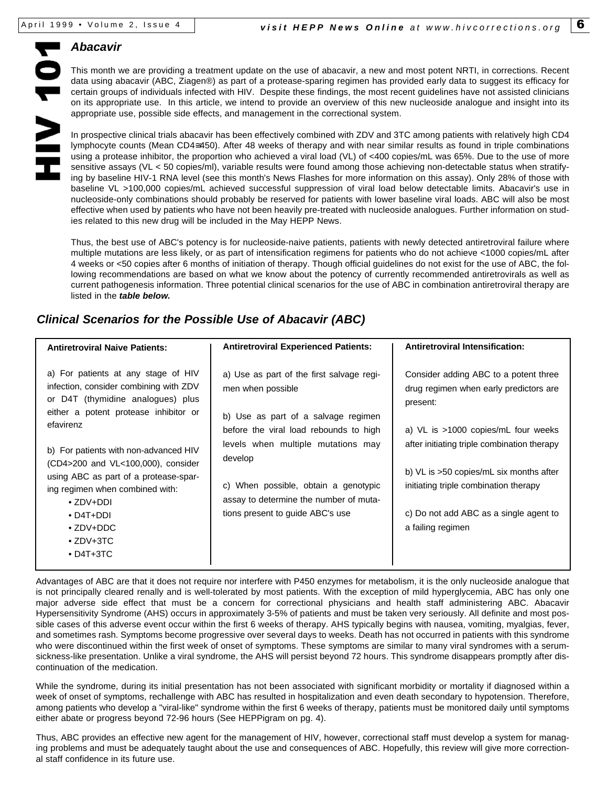### *Abacavir*

This month we are providing a treatment update on the use of abacavir, a new and most potent NRTI, in corrections. Recent data using abacavir (ABC, Ziagen®) as part of a protease-sparing regimen has provided early data to suggest its efficacy for certain groups of individuals infected with HIV. Despite these findings, the most recent guidelines have not assisted clinicians on its appropriate use. In this article, we intend to provide an overview of this new nucleoside analogue and insight into its appropriate use, possible side effects, and management in the correctional system.

In prospective clinical trials abacavir has been effectively combined with ZDV and 3TC among patients with relatively high CD4 lymphocyte counts (Mean CD4≅450). After 48 weeks of therapy and with near similar results as found in triple combinations using a protease inhibitor, the proportion who achieved a viral load (VL) of <400 copies/mL was 65%. Due to the use of more sensitive assays (VL < 50 copies/ml), variable results were found among those achieving non-detectable status when stratifying by baseline HIV-1 RNA level (see this month's News Flashes for more information on this assay). Only 28% of those with baseline VL >100,000 copies/mL achieved successful suppression of viral load below detectable limits. Abacavir's use in nucleoside-only combinations should probably be reserved for patients with lower baseline viral loads. ABC will also be most effective when used by patients who have not been heavily pre-treated with nucleoside analogues. Further information on studies related to this new drug will be included in the May HEPP News.

Thus, the best use of ABC's potency is for nucleoside-naive patients, patients with newly detected antiretroviral failure where multiple mutations are less likely, or as part of intensification regimens for patients who do not achieve <1000 copies/mL after 4 weeks or <50 copies after 6 months of initiation of therapy. Though official guidelines do not exist for the use of ABC, the following recommendations are based on what we know about the potency of currently recommended antiretrovirals as well as current pathogenesis information. Three potential clinical scenarios for the use of ABC in combination antiretroviral therapy are listed in the *table below.*

## *Clinical Scenarios for the Possible Use of Abacavir (ABC)*

| <b>Antiretroviral Naive Patients:</b>                                                                                                                                                                                                                                                                                                                                                                                 | <b>Antiretroviral Experienced Patients:</b>                                                                                                                                                                                                                                                                            | <b>Antiretroviral Intensification:</b>                                                                                                                                                                                                                                                                                               |
|-----------------------------------------------------------------------------------------------------------------------------------------------------------------------------------------------------------------------------------------------------------------------------------------------------------------------------------------------------------------------------------------------------------------------|------------------------------------------------------------------------------------------------------------------------------------------------------------------------------------------------------------------------------------------------------------------------------------------------------------------------|--------------------------------------------------------------------------------------------------------------------------------------------------------------------------------------------------------------------------------------------------------------------------------------------------------------------------------------|
| a) For patients at any stage of HIV<br>infection, consider combining with ZDV<br>or D4T (thymidine analogues) plus<br>either a potent protease inhibitor or<br>efavirenz<br>b) For patients with non-advanced HIV<br>(CD4>200 and VL<100,000), consider<br>using ABC as part of a protease-spar-<br>ing regimen when combined with:<br>$\bullet$ 7DV+DDI<br>$\bullet$ D4T+DDI<br>$\cdot$ ZDV+DDC<br>$\bullet$ ZDV+3TC | a) Use as part of the first salvage regi-<br>men when possible<br>b) Use as part of a salvage regimen<br>before the viral load rebounds to high<br>levels when multiple mutations may<br>develop<br>c) When possible, obtain a genotypic<br>assay to determine the number of muta-<br>tions present to guide ABC's use | Consider adding ABC to a potent three<br>drug regimen when early predictors are<br>present:<br>a) VL is >1000 copies/mL four weeks<br>after initiating triple combination therapy<br>b) VL is >50 copies/mL six months after<br>initiating triple combination therapy<br>c) Do not add ABC as a single agent to<br>a failing regimen |
| $\cdot$ D4T+3TC                                                                                                                                                                                                                                                                                                                                                                                                       |                                                                                                                                                                                                                                                                                                                        |                                                                                                                                                                                                                                                                                                                                      |

Advantages of ABC are that it does not require nor interfere with P450 enzymes for metabolism, it is the only nucleoside analogue that is not principally cleared renally and is well-tolerated by most patients. With the exception of mild hyperglycemia, ABC has only one major adverse side effect that must be a concern for correctional physicians and health staff administering ABC. Abacavir Hypersensitivity Syndrome (AHS) occurs in approximately 3-5% of patients and must be taken very seriously. All definite and most possible cases of this adverse event occur within the first 6 weeks of therapy. AHS typically begins with nausea, vomiting, myalgias, fever, and sometimes rash. Symptoms become progressive over several days to weeks. Death has not occurred in patients with this syndrome who were discontinued within the first week of onset of symptoms. These symptoms are similar to many viral syndromes with a serumsickness-like presentation. Unlike a viral syndrome, the AHS will persist beyond 72 hours. This syndrome disappears promptly after discontinuation of the medication.

While the syndrome, during its initial presentation has not been associated with significant morbidity or mortality if diagnosed within a week of onset of symptoms, rechallenge with ABC has resulted in hospitalization and even death secondary to hypotension. Therefore, among patients who develop a "viral-like" syndrome within the first 6 weeks of therapy, patients must be monitored daily until symptoms either abate or progress beyond 72-96 hours (See HEPPigram on pg. 4).

Thus, ABC provides an effective new agent for the management of HIV, however, correctional staff must develop a system for managing problems and must be adequately taught about the use and consequences of ABC. Hopefully, this review will give more correctional staff confidence in its future use.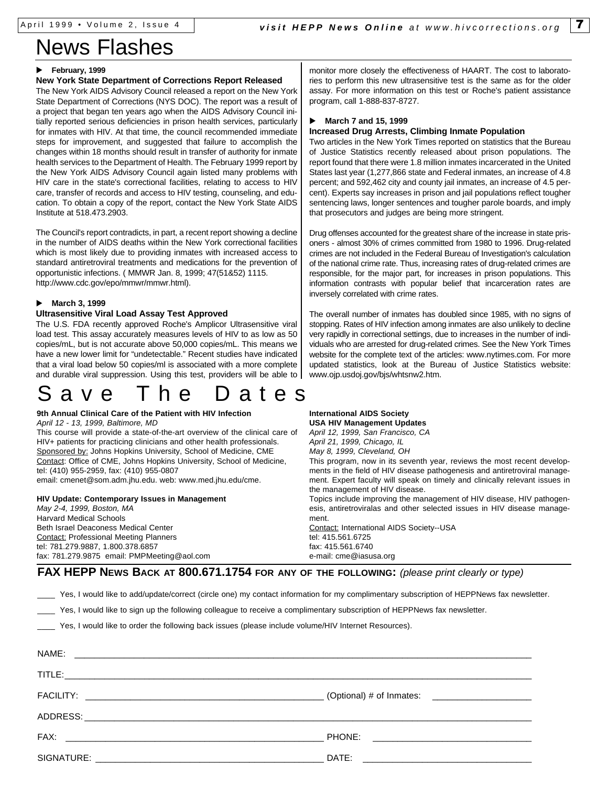# News Flashes

#### February, 1999

#### **New York State Department of Corrections Report Released**

The New York AIDS Advisory Council released a report on the New York State Department of Corrections (NYS DOC). The report was a result of a project that began ten years ago when the AIDS Advisory Council initially reported serious deficiencies in prison health services, particularly for inmates with HIV. At that time, the council recommended immediate steps for improvement, and suggested that failure to accomplish the changes within 18 months should result in transfer of authority for inmate health services to the Department of Health. The February 1999 report by the New York AIDS Advisory Council again listed many problems with HIV care in the state's correctional facilities, relating to access to HIV care, transfer of records and access to HIV testing, counseling, and education. To obtain a copy of the report, contact the New York State AIDS Institute at 518.473.2903.

The Council's report contradicts, in part, a recent report showing a decline in the number of AIDS deaths within the New York correctional facilities which is most likely due to providing inmates with increased access to standard antiretroviral treatments and medications for the prevention of opportunistic infections. ( MMWR Jan. 8, 1999; 47(51&52) 1115. http://www.cdc.gov/epo/mmwr/mmwr.html).

#### u **March 3, 1999**

#### **Ultrasensitive Viral Load Assay Test Approved**

The U.S. FDA recently approved Roche's Amplicor Ultrasensitive viral load test. This assay accurately measures levels of HIV to as low as 50 copies/mL, but is not accurate above 50,000 copies/mL. This means we have a new lower limit for "undetectable." Recent studies have indicated that a viral load below 50 copies/ml is associated with a more complete and durable viral suppression. Using this test, providers will be able to

# Save The Date s

### **9th Annual Clinical Care of the Patient with HIV Infection**

*April 12 - 13, 1999, Baltimore, MD* This course will provide a state-of-the-art overview of the clinical care of HIV+ patients for practicing clinicians and other health professionals. Sponsored by: Johns Hopkins University, School of Medicine, CME Contact: Office of CME, Johns Hopkins University, School of Medicine, tel: (410) 955-2959, fax: (410) 955-0807 email: cmenet@som.adm.jhu.edu. web: www.med.jhu.edu/cme.

**HIV Update: Contemporary Issues in Management** *May 2-4, 1999, Boston, MA*

Harvard Medical Schools Beth Israel Deaconess Medical Center Contact: Professional Meeting Planners tel: 781.279.9887, 1.800.378.6857 fax: 781.279.9875 email: PMPMeeting@aol.com monitor more closely the effectiveness of HAART. The cost to laboratories to perform this new ultrasensitive test is the same as for the older assay. For more information on this test or Roche's patient assistance program, call 1-888-837-8727.

#### u **March 7 and 15, 1999**

#### **Increased Drug Arrests, Climbing Inmate Population**

Two articles in the New York Times reported on statistics that the Bureau of Justice Statistics recently released about prison populations. The report found that there were 1.8 million inmates incarcerated in the United States last year (1,277,866 state and Federal inmates, an increase of 4.8 percent; and 592,462 city and county jail inmates, an increase of 4.5 percent). Experts say increases in prison and jail populations reflect tougher sentencing laws, longer sentences and tougher parole boards, and imply that prosecutors and judges are being more stringent.

Drug offenses accounted for the greatest share of the increase in state prisoners - almost 30% of crimes committed from 1980 to 1996. Drug-related crimes are not included in the Federal Bureau of Investigation's calculation of the national crime rate. Thus, increasing rates of drug-related crimes are responsible, for the major part, for increases in prison populations. This information contrasts with popular belief that incarceration rates are inversely correlated with crime rates.

The overall number of inmates has doubled since 1985, with no signs of stopping. Rates of HIV infection among inmates are also unlikely to decline very rapidly in correctional settings, due to increases in the number of individuals who are arrested for drug-related crimes. See the New York Times website for the complete text of the articles: www.nytimes.com. For more updated statistics, look at the Bureau of Justice Statistics website: www.ojp.usdoj.gov/bjs/whtsnw2.htm.

**International AIDS Society USA HIV Management Updates** *April 12, 1999, San Francisco, CA April 21, 1999, Chicago, IL May 8, 1999, Cleveland, OH* This program, now in its seventh year, reviews the most recent developments in the field of HIV disease pathogenesis and antiretroviral management. Expert faculty will speak on timely and clinically relevant issues in the management of HIV disease. Topics include improving the management of HIV disease, HIV pathogenesis, antiretroviralas and other selected issues in HIV disease management. Contact: International AIDS Society--USA tel: 415.561.6725 fax: 415.561.6740 e-mail: cme@iasusa.org

**FAX HEPP NEWS BACK AT 800.671.1754 FOR ANY OF THE FOLLOWING:** *(please print clearly or type)*

Yes, I would like to add/update/correct (circle one) my contact information for my complimentary subscription of HEPPNews fax newsletter.

Yes, I would like to sign up the following colleague to receive a complimentary subscription of HEPPNews fax newsletter.

Yes, I would like to order the following back issues (please include volume/HIV Internet Resources).

| NAME: |       |
|-------|-------|
|       |       |
|       |       |
|       |       |
|       |       |
|       | DATE: |